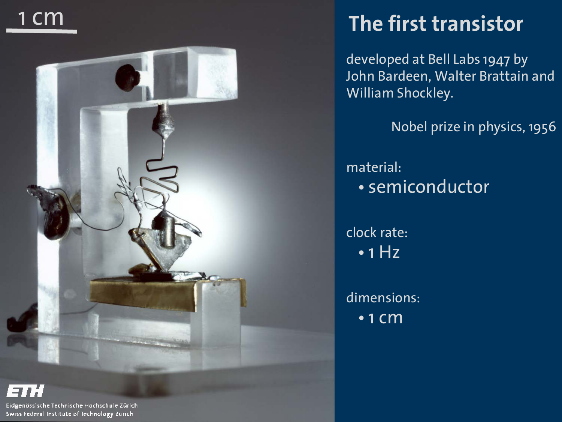



#### **The first transistor**

developed at Bell Labs 1947 by John Bardeen, Walter Brattain and William Shockley.

Nobel prize in physics, 1956

material: • semiconductor

clock rate: • 1 Hz

dimensions: • 1 cm

Eidgenösslache Technische Hochschule Zürich-Swiss Federal Institute of Technology Zurich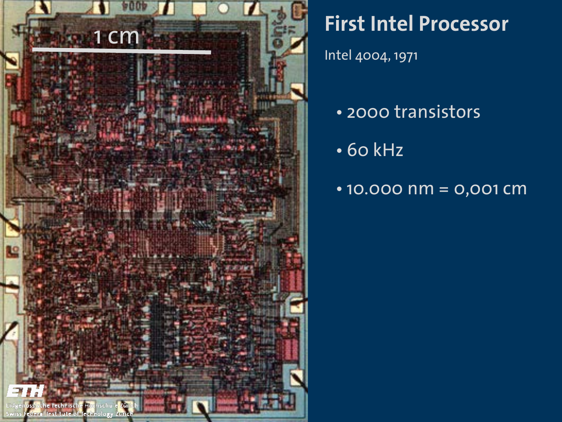

## **First Intel Processor**

Intel 4004, 1971

- 2000 transistors
- 60 kHz
- 10.000 nm = 0,001 cm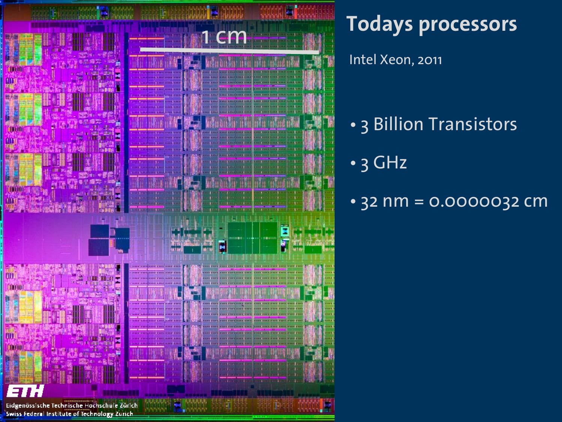

**Todays processors**

Intel Xeon, 2011

- 3 Billion Transistors
- 3 GHz
- 32 nm = 0.0000032 cm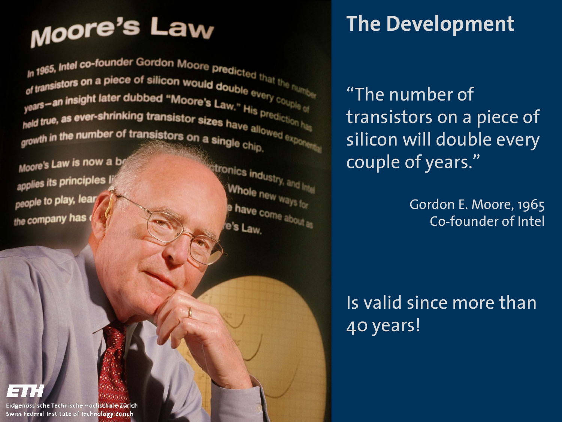# **Moore's Law**

In 1965, Intel co-founder Gordon Moore predicted that the number of transistors on a piece of silicon would double every couple of years—an insight later dubbed "Moore's Law." His prediction has years<br>held true, as ever-shrinking t growth in the number of transistor growth in the number of transistors on a single chip.<br>Moore's Law is now a be

applies its principles people to play, lear the company has

technology than the contract of

William D. Phillips, 1997

Nobel Prize Winner in Physics Winner

digital computer is a computation of the computation of the computation of the computation of the computation of the computation of the computation of the computation of the computation of the computation of the computatio

from the abacus."

tronics industry, and International Whole new ways for have come about as e's Law.

### **The Development**

"The number of transistors on a piece of silicon will double every couple of years."

> Gordon E. Moore, 1965 Co-founder of Intel

Is valid since more than 40 years!

Eidgenössische Technische Hochschule Zürich Swiss Federal Institute of Technology Zurich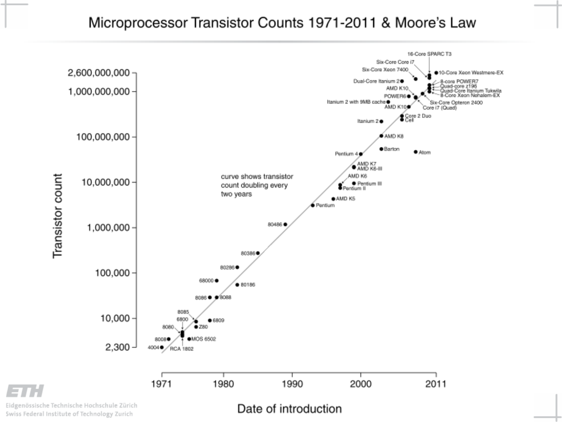#### Microprocessor Transistor Counts 1971-2011 & Moore's Law



Eidgenössische Technische Hochschule Zürich Swiss Federal Institute of Technology Zurich

Date of introduction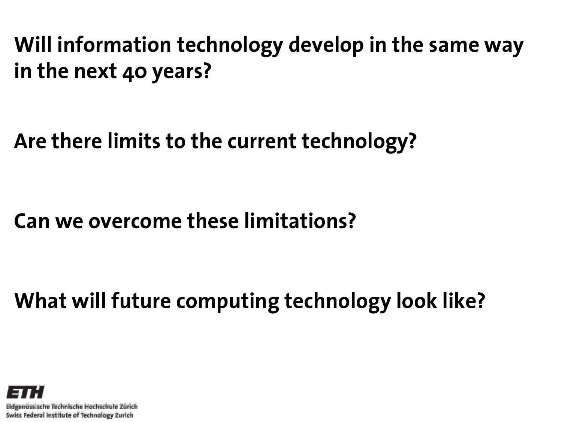**Will information technology develop in the same way in the next 40 years?**

**Are there limits to the current technology?** 

**Can we overcome these limitations?** 

**What will future computing technology look like?**